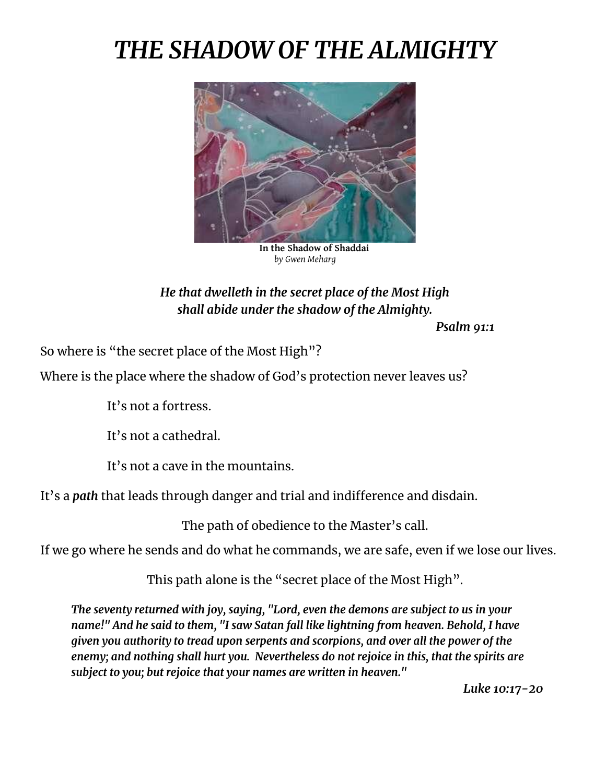## *THE SHADOW OF THE ALMIGHTY*



**In the Shadow of Shaddai** *by Gwen Meharg*

## *He that dwelleth in the secret place of the Most High shall abide under the shadow of the Almighty.*

*Psalm 91:1*

So where is "the secret place of the Most High"?

Where is the place where the shadow of God's protection never leaves us?

It's not a fortress.

It's not a cathedral.

It's not a cave in the mountains.

It's a *path* that leads through danger and trial and indifference and disdain.

The path of obedience to the Master's call.

If we go where he sends and do what he commands, we are safe, even if we lose our lives.

This path alone is the "secret place of the Most High".

*The seventy returned with joy, saying, "Lord, even the demons are subject to us in your name!" And he said to them, "I saw Satan fall like lightning from heaven. Behold, I have given you authority to tread upon serpents and scorpions, and over all the power of the enemy; and nothing shall hurt you. Nevertheless do not rejoice in this, that the spirits are subject to you; but rejoice that your names are written in heaven."* 

*Luke 10:17-20*